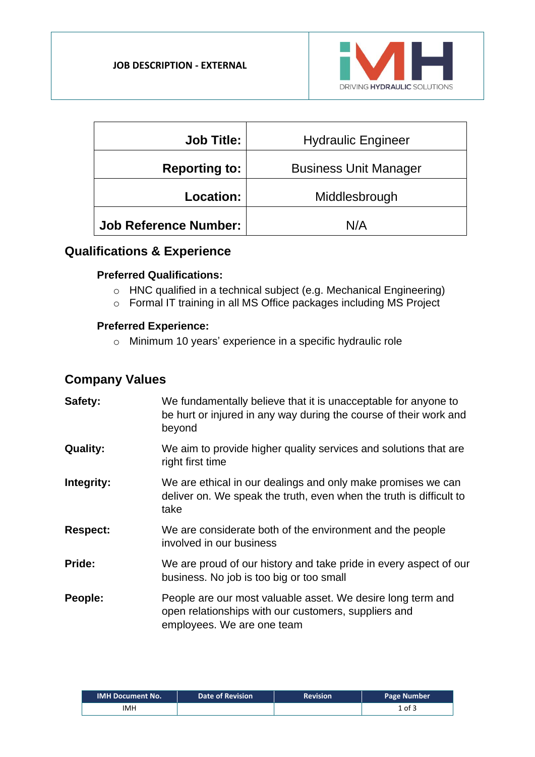

| <b>Job Title:</b>            | <b>Hydraulic Engineer</b>    |  |  |
|------------------------------|------------------------------|--|--|
| <b>Reporting to:</b>         | <b>Business Unit Manager</b> |  |  |
| Location:                    | Middlesbrough                |  |  |
| <b>Job Reference Number:</b> | N/A                          |  |  |

### **Qualifications & Experience**

#### **Preferred Qualifications:**

- o HNC qualified in a technical subject (e.g. Mechanical Engineering)
- o Formal IT training in all MS Office packages including MS Project

#### **Preferred Experience:**

o Minimum 10 years' experience in a specific hydraulic role

# **Company Values**

| Safety:         | We fundamentally believe that it is unacceptable for anyone to<br>be hurt or injured in any way during the course of their work and<br>beyond     |
|-----------------|---------------------------------------------------------------------------------------------------------------------------------------------------|
| <b>Quality:</b> | We aim to provide higher quality services and solutions that are<br>right first time                                                              |
| Integrity:      | We are ethical in our dealings and only make promises we can<br>deliver on. We speak the truth, even when the truth is difficult to<br>take       |
| <b>Respect:</b> | We are considerate both of the environment and the people<br>involved in our business                                                             |
| Pride:          | We are proud of our history and take pride in every aspect of our<br>business. No job is too big or too small                                     |
| People:         | People are our most valuable asset. We desire long term and<br>open relationships with our customers, suppliers and<br>employees. We are one team |

| <b>IMH Document No.</b> | Date of Revision | <b>Revision</b> | <b>Page Number</b> |
|-------------------------|------------------|-----------------|--------------------|
| IMH                     |                  |                 | $1$ of $3$         |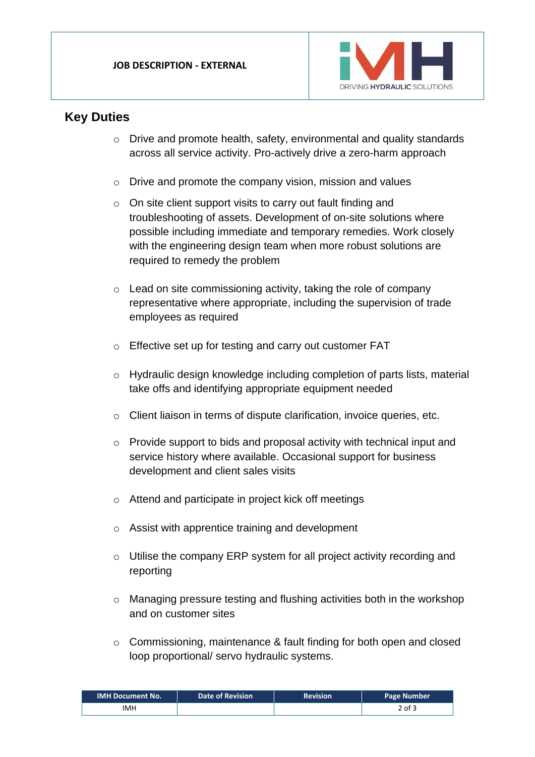

### **Key Duties**

- o Drive and promote health, safety, environmental and quality standards across all service activity. Pro-actively drive a zero-harm approach
- o Drive and promote the company vision, mission and values
- o On site client support visits to carry out fault finding and troubleshooting of assets. Development of on-site solutions where possible including immediate and temporary remedies. Work closely with the engineering design team when more robust solutions are required to remedy the problem
- o Lead on site commissioning activity, taking the role of company representative where appropriate, including the supervision of trade employees as required
- o Effective set up for testing and carry out customer FAT
- o Hydraulic design knowledge including completion of parts lists, material take offs and identifying appropriate equipment needed
- o Client liaison in terms of dispute clarification, invoice queries, etc.
- o Provide support to bids and proposal activity with technical input and service history where available. Occasional support for business development and client sales visits
- o Attend and participate in project kick off meetings
- o Assist with apprentice training and development
- o Utilise the company ERP system for all project activity recording and reporting
- o Managing pressure testing and flushing activities both in the workshop and on customer sites
- o Commissioning, maintenance & fault finding for both open and closed loop proportional/ servo hydraulic systems.

| <b>IMH Document No.</b> | Date of Revision | <b>Revision</b> | Page Number |
|-------------------------|------------------|-----------------|-------------|
| IMH                     |                  |                 | 2 of 3      |